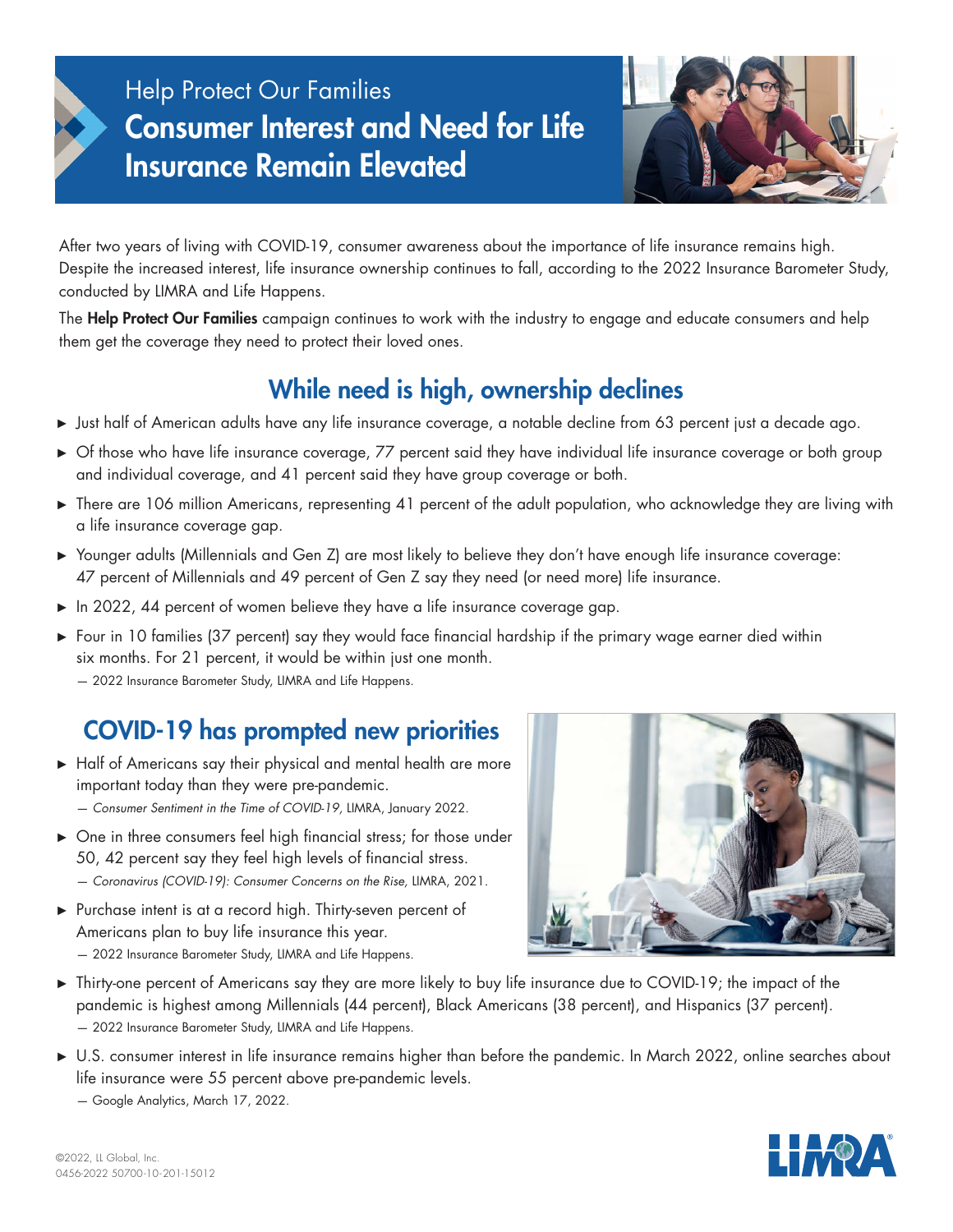# Help Protect Our Families Consumer Interest and Need for Life Insurance Remain Elevated



After two years of living with COVID-19, consumer awareness about the importance of life insurance remains high. Despite the increased interest, life insurance ownership continues to fall, according to the 2022 Insurance Barometer Study, conducted by LIMRA and Life Happens.

The Help Protect Our Families campaign continues to work with the industry to engage and educate consumers and help them get the coverage they need to protect their loved ones.

## While need is high, ownership declines

- **►**  Just half of American adults have any life insurance coverage, a notable decline from 63 percent just a decade ago.
- ► Of those who have life insurance coverage, 77 percent said they have individual life insurance coverage or both group and individual coverage, and 41 percent said they have group coverage or both.
- ► There are 106 million Americans, representing 41 percent of the adult population, who acknowledge they are living with a life insurance coverage gap.
- **►**  Younger adults (Millennials and Gen Z) are most likely to believe they don't have enough life insurance coverage: 47 percent of Millennials and 49 percent of Gen Z say they need (or need more) life insurance.
- ► In 2022, 44 percent of women believe they have a life insurance coverage gap.
- **►**  Four in 10 families (37 percent) say they would face financial hardship if the primary wage earner died within six months. For 21 percent, it would be within just one month. — 2022 Insurance Barometer Study, LIMRA and Life Happens.

# COVID-19 has prompted new priorities

- ► Half of Americans say their physical and mental health are more important today than they were pre-pandemic.
	- *Consumer Sentiment in the Time of COVID-19,* LIMRA, January 2022.
- ► One in three consumers feel high financial stress; for those under 50, 42 percent say they feel high levels of financial stress. — *Coronavirus (COVID-19): Consumer Concerns on the Rise,* LIMRA, 2021.
- ► Purchase intent is at a record high. Thirty-seven percent of Americans plan to buy life insurance this year. — 2022 Insurance Barometer Study, LIMRA and Life Happens.



- **►**  Thirty-one percent of Americans say they are more likely to buy life insurance due to COVID-19; the impact of the pandemic is highest among Millennials (44 percent), Black Americans (38 percent), and Hispanics (37 percent). — 2022 Insurance Barometer Study, LIMRA and Life Happens.
- **►**  U.S. consumer interest in life insurance remains higher than before the pandemic. In March 2022, online searches about life insurance were 55 percent above pre-pandemic levels.
	- Google Analytics, March 17, 2022.